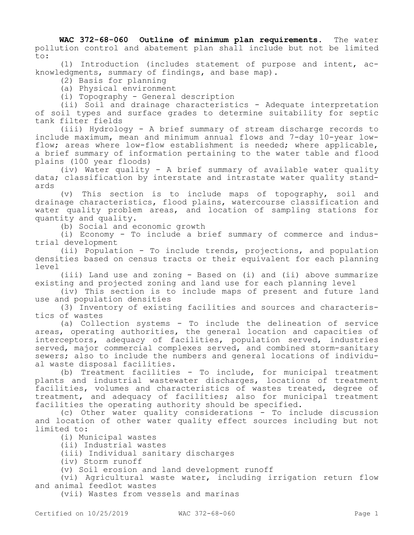**WAC 372-68-060 Outline of minimum plan requirements.** The water pollution control and abatement plan shall include but not be limited to:

(1) Introduction (includes statement of purpose and intent, acknowledgments, summary of findings, and base map).

(2) Basis for planning

(a) Physical environment

(i) Topography - General description

(ii) Soil and drainage characteristics - Adequate interpretation of soil types and surface grades to determine suitability for septic tank filter fields

(iii) Hydrology - A brief summary of stream discharge records to include maximum, mean and minimum annual flows and 7-day 10-year lowflow; areas where low-flow establishment is needed; where applicable, a brief summary of information pertaining to the water table and flood plains (100 year floods)

(iv) Water quality - A brief summary of available water quality data; classification by interstate and intrastate water quality standards

(v) This section is to include maps of topography, soil and drainage characteristics, flood plains, watercourse classification and water quality problem areas, and location of sampling stations for quantity and quality.

(b) Social and economic growth

(i) Economy - To include a brief summary of commerce and industrial development

(ii) Population - To include trends, projections, and population densities based on census tracts or their equivalent for each planning level

(iii) Land use and zoning - Based on (i) and (ii) above summarize existing and projected zoning and land use for each planning level

(iv) This section is to include maps of present and future land use and population densities

(3) Inventory of existing facilities and sources and characteristics of wastes

(a) Collection systems - To include the delineation of service areas, operating authorities, the general location and capacities of interceptors, adequacy of facilities, population served, industries served, major commercial complexes served, and combined storm-sanitary sewers; also to include the numbers and general locations of individual waste disposal facilities.

(b) Treatment facilities - To include, for municipal treatment plants and industrial wastewater discharges, locations of treatment facilities, volumes and characteristics of wastes treated, degree of treatment, and adequacy of facilities; also for municipal treatment facilities the operating authority should be specified.

(c) Other water quality considerations - To include discussion and location of other water quality effect sources including but not limited to:

(i) Municipal wastes

(ii) Industrial wastes

(iii) Individual sanitary discharges

(iv) Storm runoff

(v) Soil erosion and land development runoff

(vi) Agricultural waste water, including irrigation return flow and animal feedlot wastes

(vii) Wastes from vessels and marinas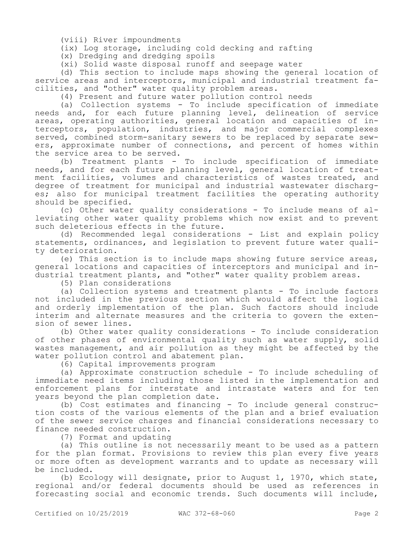(viii) River impoundments

(ix) Log storage, including cold decking and rafting

(x) Dredging and dredging spoils

(xi) Solid waste disposal runoff and seepage water

(d) This section to include maps showing the general location of service areas and interceptors, municipal and industrial treatment facilities, and "other" water quality problem areas.

(4) Present and future water pollution control needs

(a) Collection systems - To include specification of immediate needs and, for each future planning level, delineation of service areas, operating authorities, general location and capacities of interceptors, population, industries, and major commercial complexes served, combined storm-sanitary sewers to be replaced by separate sewers, approximate number of connections, and percent of homes within the service area to be served.

(b) Treatment plants - To include specification of immediate needs, and for each future planning level, general location of treatment facilities, volumes and characteristics of wastes treated, and degree of treatment for municipal and industrial wastewater discharges; also for municipal treatment facilities the operating authority should be specified.

(c) Other water quality considerations - To include means of alleviating other water quality problems which now exist and to prevent such deleterious effects in the future.

(d) Recommended legal considerations - List and explain policy statements, ordinances, and legislation to prevent future water quality deterioration.

(e) This section is to include maps showing future service areas, general locations and capacities of interceptors and municipal and industrial treatment plants, and "other" water quality problem areas.

(5) Plan considerations

(a) Collection systems and treatment plants - To include factors not included in the previous section which would affect the logical and orderly implementation of the plan. Such factors should include interim and alternate measures and the criteria to govern the extension of sewer lines.

(b) Other water quality considerations - To include consideration of other phases of environmental quality such as water supply, solid wastes management, and air pollution as they might be affected by the water pollution control and abatement plan.

(6) Capital improvements program

(a) Approximate construction schedule - To include scheduling of immediate need items including those listed in the implementation and enforcement plans for interstate and intrastate waters and for ten years beyond the plan completion date.

(b) Cost estimates and financing - To include general construction costs of the various elements of the plan and a brief evaluation of the sewer service charges and financial considerations necessary to finance needed construction.

(7) Format and updating

(a) This outline is not necessarily meant to be used as a pattern for the plan format. Provisions to review this plan every five years or more often as development warrants and to update as necessary will be included.

(b) Ecology will designate, prior to August 1, 1970, which state, regional and/or federal documents should be used as references in forecasting social and economic trends. Such documents will include,